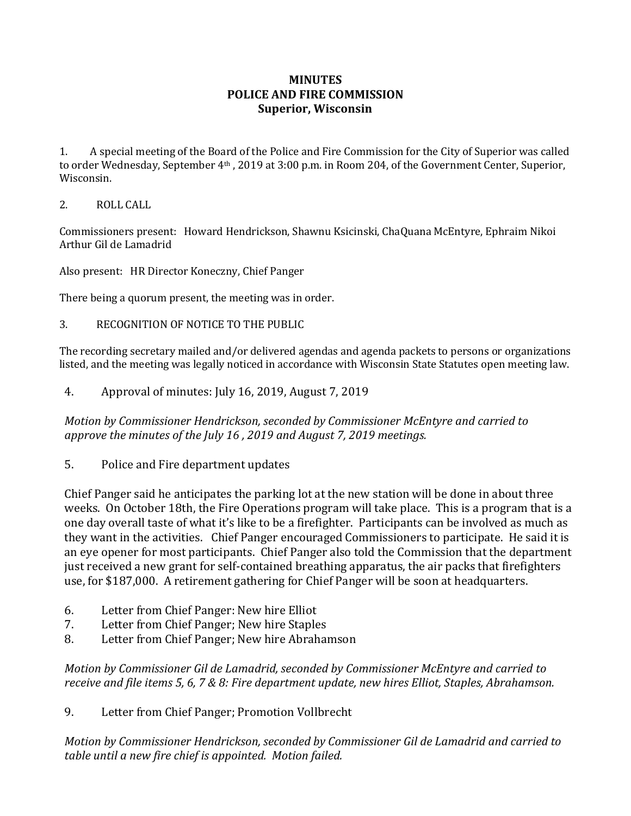## **MINUTES POLICE AND FIRE COMMISSION Superior, Wisconsin**

1. A special meeting of the Board of the Police and Fire Commission for the City of Superior was called to order Wednesday, September 4th , 2019 at 3:00 p.m. in Room 204, of the Government Center, Superior, Wisconsin.

## 2. ROLL CALL

Commissioners present: Howard Hendrickson, Shawnu Ksicinski, ChaQuana McEntyre, Ephraim Nikoi Arthur Gil de Lamadrid

Also present: HR Director Koneczny, Chief Panger

There being a quorum present, the meeting was in order.

3. RECOGNITION OF NOTICE TO THE PUBLIC

The recording secretary mailed and/or delivered agendas and agenda packets to persons or organizations listed, and the meeting was legally noticed in accordance with Wisconsin State Statutes open meeting law.

4. Approval of minutes: July 16, 2019, August 7, 2019

*Motion by Commissioner Hendrickson, seconded by Commissioner McEntyre and carried to approve the minutes of the July 16 , 2019 and August 7, 2019 meetings.* 

5. Police and Fire department updates

Chief Panger said he anticipates the parking lot at the new station will be done in about three weeks. On October 18th, the Fire Operations program will take place. This is a program that is a one day overall taste of what it's like to be a firefighter. Participants can be involved as much as they want in the activities. Chief Panger encouraged Commissioners to participate. He said it is an eye opener for most participants. Chief Panger also told the Commission that the department just received a new grant for self-contained breathing apparatus, the air packs that firefighters use, for \$187,000. A retirement gathering for Chief Panger will be soon at headquarters.

- 6. Letter from Chief Panger: New hire Elliot
- 7. Letter from Chief Panger; New hire Staples
- 8. Letter from Chief Panger; New hire Abrahamson

*Motion by Commissioner Gil de Lamadrid, seconded by Commissioner McEntyre and carried to receive and file items 5, 6, 7 & 8: Fire department update, new hires Elliot, Staples, Abrahamson.*

9. Letter from Chief Panger; Promotion Vollbrecht

*Motion by Commissioner Hendrickson, seconded by Commissioner Gil de Lamadrid and carried to table until a new fire chief is appointed. Motion failed.*